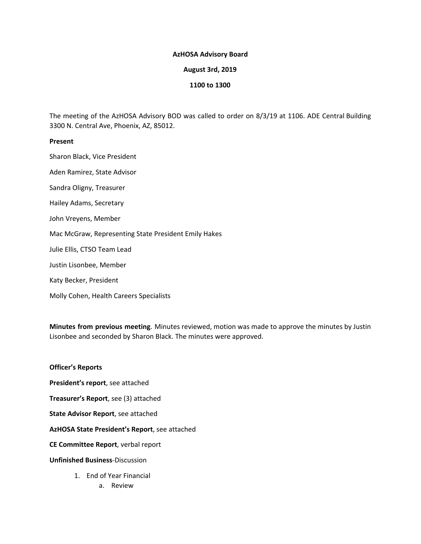### **AzHOSA Advisory Board**

### **August 3rd, 2019**

## **1100 to 1300**

The meeting of the AzHOSA Advisory BOD was called to order on 8/3/19 at 1106. ADE Central Building 3300 N. Central Ave, Phoenix, AZ, 85012.

## **Present**

Sharon Black, Vice President

Aden Ramirez, State Advisor

Sandra Oligny, Treasurer

Hailey Adams, Secretary

John Vreyens, Member

Mac McGraw, Representing State President Emily Hakes

Julie Ellis, CTSO Team Lead

Justin Lisonbee, Member

Katy Becker, President

Molly Cohen, Health Careers Specialists

**Minutes from previous meeting**. Minutes reviewed, motion was made to approve the minutes by Justin Lisonbee and seconded by Sharon Black. The minutes were approved.

# **Officer's Reports**

**President's report**, see attached

**Treasurer's Report**, see (3) attached

**State Advisor Report**, see attached

**AzHOSA State President's Report**, see attached

**CE Committee Report**, verbal report

### **Unfinished Business**-Discussion

1. End of Year Financial a. Review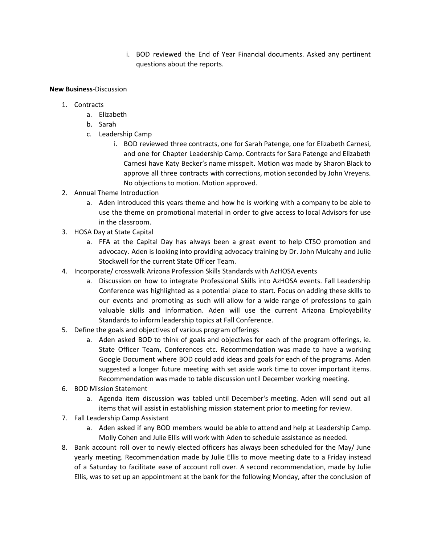i. BOD reviewed the End of Year Financial documents. Asked any pertinent questions about the reports.

**New Business**-Discussion

- 1. Contracts
	- a. Elizabeth
	- b. Sarah
	- c. Leadership Camp
		- i. BOD reviewed three contracts, one for Sarah Patenge, one for Elizabeth Carnesi, and one for Chapter Leadership Camp. Contracts for Sara Patenge and Elizabeth Carnesi have Katy Becker's name misspelt. Motion was made by Sharon Black to approve all three contracts with corrections, motion seconded by John Vreyens. No objections to motion. Motion approved.
- 2. Annual Theme Introduction
	- a. Aden introduced this years theme and how he is working with a company to be able to use the theme on promotional material in order to give access to local Advisors for use in the classroom.
- 3. HOSA Day at State Capital
	- a. FFA at the Capital Day has always been a great event to help CTSO promotion and advocacy. Aden is looking into providing advocacy training by Dr. John Mulcahy and Julie Stockwell for the current State Officer Team.
- 4. Incorporate/ crosswalk Arizona Profession Skills Standards with AzHOSA events
	- a. Discussion on how to integrate Professional Skills into AzHOSA events. Fall Leadership Conference was highlighted as a potential place to start. Focus on adding these skills to our events and promoting as such will allow for a wide range of professions to gain valuable skills and information. Aden will use the current Arizona Employability Standards to inform leadership topics at Fall Conference.
- 5. Define the goals and objectives of various program offerings
	- a. Aden asked BOD to think of goals and objectives for each of the program offerings, ie. State Officer Team, Conferences etc. Recommendation was made to have a working Google Document where BOD could add ideas and goals for each of the programs. Aden suggested a longer future meeting with set aside work time to cover important items. Recommendation was made to table discussion until December working meeting.
- 6. BOD Mission Statement
	- a. Agenda item discussion was tabled until December's meeting. Aden will send out all items that will assist in establishing mission statement prior to meeting for review.
- 7. Fall Leadership Camp Assistant
	- a. Aden asked if any BOD members would be able to attend and help at Leadership Camp. Molly Cohen and Julie Ellis will work with Aden to schedule assistance as needed.
- 8. Bank account roll over to newly elected officers has always been scheduled for the May/ June yearly meeting. Recommendation made by Julie Ellis to move meeting date to a Friday instead of a Saturday to facilitate ease of account roll over. A second recommendation, made by Julie Ellis, was to set up an appointment at the bank for the following Monday, after the conclusion of